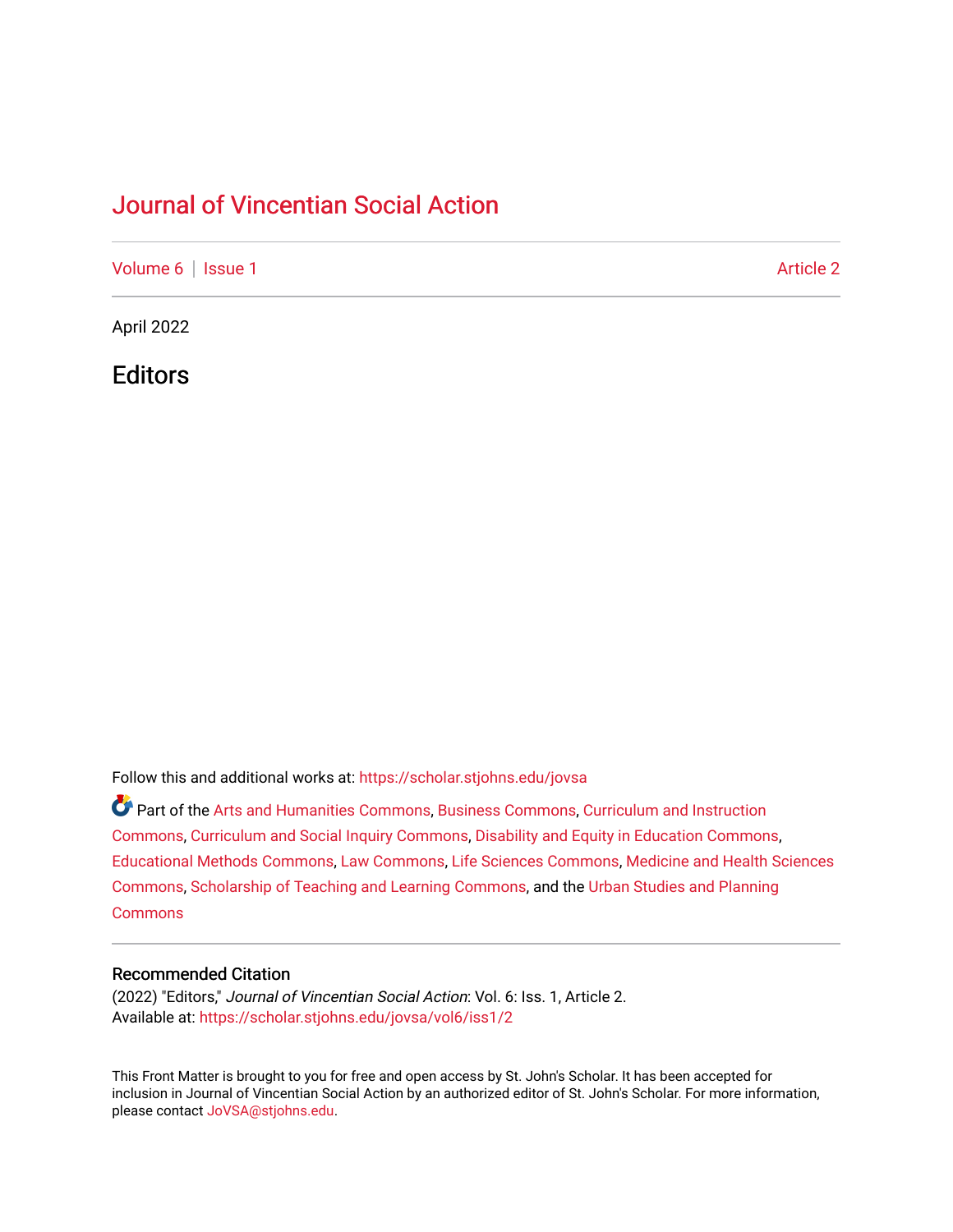### [Journal of Vincentian Social Action](https://scholar.stjohns.edu/jovsa)

[Volume 6](https://scholar.stjohns.edu/jovsa/vol6) | [Issue 1](https://scholar.stjohns.edu/jovsa/vol6/iss1) Article 2

April 2022

**Editors** 

Follow this and additional works at: [https://scholar.stjohns.edu/jovsa](https://scholar.stjohns.edu/jovsa?utm_source=scholar.stjohns.edu%2Fjovsa%2Fvol6%2Fiss1%2F2&utm_medium=PDF&utm_campaign=PDFCoverPages) 

Part of the [Arts and Humanities Commons,](http://network.bepress.com/hgg/discipline/438?utm_source=scholar.stjohns.edu%2Fjovsa%2Fvol6%2Fiss1%2F2&utm_medium=PDF&utm_campaign=PDFCoverPages) [Business Commons](http://network.bepress.com/hgg/discipline/622?utm_source=scholar.stjohns.edu%2Fjovsa%2Fvol6%2Fiss1%2F2&utm_medium=PDF&utm_campaign=PDFCoverPages), [Curriculum and Instruction](http://network.bepress.com/hgg/discipline/786?utm_source=scholar.stjohns.edu%2Fjovsa%2Fvol6%2Fiss1%2F2&utm_medium=PDF&utm_campaign=PDFCoverPages)  [Commons](http://network.bepress.com/hgg/discipline/786?utm_source=scholar.stjohns.edu%2Fjovsa%2Fvol6%2Fiss1%2F2&utm_medium=PDF&utm_campaign=PDFCoverPages), [Curriculum and Social Inquiry Commons](http://network.bepress.com/hgg/discipline/1038?utm_source=scholar.stjohns.edu%2Fjovsa%2Fvol6%2Fiss1%2F2&utm_medium=PDF&utm_campaign=PDFCoverPages), [Disability and Equity in Education Commons,](http://network.bepress.com/hgg/discipline/1040?utm_source=scholar.stjohns.edu%2Fjovsa%2Fvol6%2Fiss1%2F2&utm_medium=PDF&utm_campaign=PDFCoverPages) [Educational Methods Commons,](http://network.bepress.com/hgg/discipline/1227?utm_source=scholar.stjohns.edu%2Fjovsa%2Fvol6%2Fiss1%2F2&utm_medium=PDF&utm_campaign=PDFCoverPages) [Law Commons,](http://network.bepress.com/hgg/discipline/578?utm_source=scholar.stjohns.edu%2Fjovsa%2Fvol6%2Fiss1%2F2&utm_medium=PDF&utm_campaign=PDFCoverPages) [Life Sciences Commons](http://network.bepress.com/hgg/discipline/1016?utm_source=scholar.stjohns.edu%2Fjovsa%2Fvol6%2Fiss1%2F2&utm_medium=PDF&utm_campaign=PDFCoverPages), [Medicine and Health Sciences](http://network.bepress.com/hgg/discipline/648?utm_source=scholar.stjohns.edu%2Fjovsa%2Fvol6%2Fiss1%2F2&utm_medium=PDF&utm_campaign=PDFCoverPages) [Commons](http://network.bepress.com/hgg/discipline/648?utm_source=scholar.stjohns.edu%2Fjovsa%2Fvol6%2Fiss1%2F2&utm_medium=PDF&utm_campaign=PDFCoverPages), [Scholarship of Teaching and Learning Commons](http://network.bepress.com/hgg/discipline/1328?utm_source=scholar.stjohns.edu%2Fjovsa%2Fvol6%2Fiss1%2F2&utm_medium=PDF&utm_campaign=PDFCoverPages), and the [Urban Studies and Planning](http://network.bepress.com/hgg/discipline/436?utm_source=scholar.stjohns.edu%2Fjovsa%2Fvol6%2Fiss1%2F2&utm_medium=PDF&utm_campaign=PDFCoverPages)  **[Commons](http://network.bepress.com/hgg/discipline/436?utm_source=scholar.stjohns.edu%2Fjovsa%2Fvol6%2Fiss1%2F2&utm_medium=PDF&utm_campaign=PDFCoverPages)** 

### Recommended Citation

(2022) "Editors," Journal of Vincentian Social Action: Vol. 6: Iss. 1, Article 2. Available at: [https://scholar.stjohns.edu/jovsa/vol6/iss1/2](https://scholar.stjohns.edu/jovsa/vol6/iss1/2?utm_source=scholar.stjohns.edu%2Fjovsa%2Fvol6%2Fiss1%2F2&utm_medium=PDF&utm_campaign=PDFCoverPages) 

This Front Matter is brought to you for free and open access by St. John's Scholar. It has been accepted for inclusion in Journal of Vincentian Social Action by an authorized editor of St. John's Scholar. For more information, please contact [JoVSA@stjohns.edu.](mailto:JoVSA@stjohns.edu)